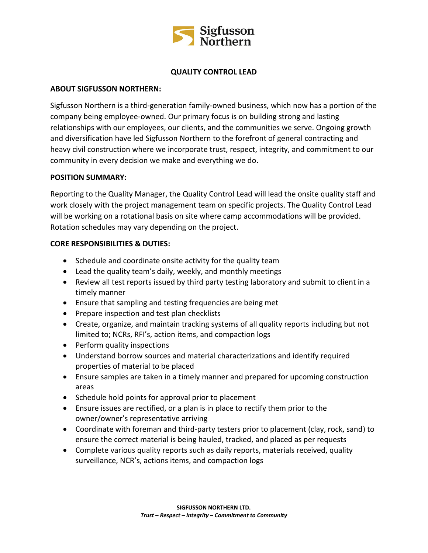

# **QUALITY CONTROL LEAD**

## **ABOUT SIGFUSSON NORTHERN:**

Sigfusson Northern is a third-generation family-owned business, which now has a portion of the company being employee-owned. Our primary focus is on building strong and lasting relationships with our employees, our clients, and the communities we serve. Ongoing growth and diversification have led Sigfusson Northern to the forefront of general contracting and heavy civil construction where we incorporate trust, respect, integrity, and commitment to our community in every decision we make and everything we do.

### **POSITION SUMMARY:**

Reporting to the Quality Manager, the Quality Control Lead will lead the onsite quality staff and work closely with the project management team on specific projects. The Quality Control Lead will be working on a rotational basis on site where camp accommodations will be provided. Rotation schedules may vary depending on the project.

# **CORE RESPONSIBILITIES & DUTIES:**

- Schedule and coordinate onsite activity for the quality team
- Lead the quality team's daily, weekly, and monthly meetings
- Review all test reports issued by third party testing laboratory and submit to client in a timely manner
- Ensure that sampling and testing frequencies are being met
- Prepare inspection and test plan checklists
- Create, organize, and maintain tracking systems of all quality reports including but not limited to; NCRs, RFI's, action items, and compaction logs
- Perform quality inspections
- Understand borrow sources and material characterizations and identify required properties of material to be placed
- Ensure samples are taken in a timely manner and prepared for upcoming construction areas
- Schedule hold points for approval prior to placement
- Ensure issues are rectified, or a plan is in place to rectify them prior to the owner/owner's representative arriving
- Coordinate with foreman and third-party testers prior to placement (clay, rock, sand) to ensure the correct material is being hauled, tracked, and placed as per requests
- Complete various quality reports such as daily reports, materials received, quality surveillance, NCR's, actions items, and compaction logs